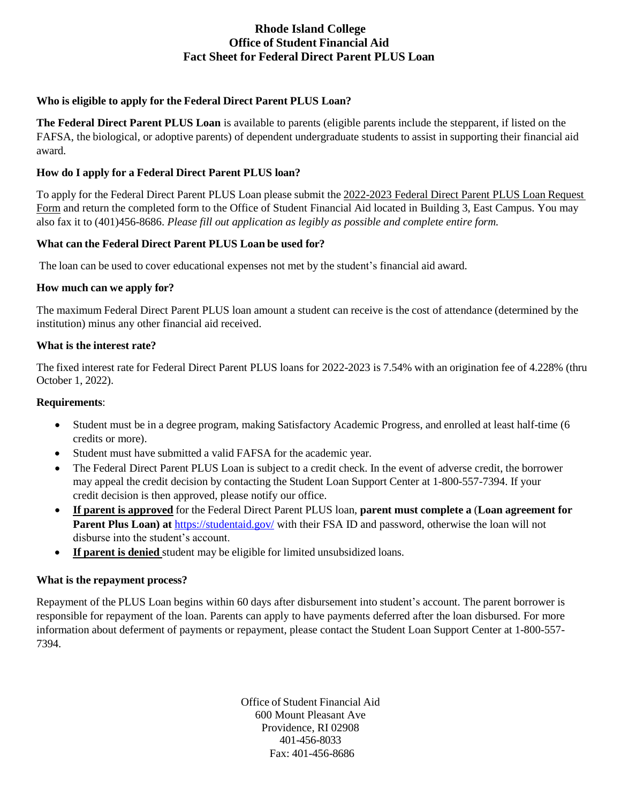# **Rhode Island College Office of Student Financial Aid Fact Sheet for Federal Direct Parent PLUS Loan**

## **Who is eligible to apply for the Federal Direct Parent PLUS Loan?**

**The Federal Direct Parent PLUS Loan** is available to parents (eligible parents include the stepparent, if listed on the FAFSA, the biological, or adoptive parents) of dependent undergraduate students to assist in supporting their financial aid award.

#### **How do I apply for a Federal Direct Parent PLUS loan?**

To apply for the Federal Direct Parent PLUS Loan please submit the 2022-2023 Federal Direct Parent PLUS Loan Request Form and return the completed form to the Office of Student Financial Aid located in Building 3, East Campus. You may also fax it to (401)456-8686. *Please fill out application as legibly as possible and complete entire form.*

#### **What can the Federal Direct Parent PLUS Loan be used for?**

The loan can be used to cover educational expenses not met by the student's financial aid award.

## **How much can we apply for?**

The maximum Federal Direct Parent PLUS loan amount a student can receive is the cost of attendance (determined by the institution) minus any other financial aid received.

## **What is the interest rate?**

The fixed interest rate for Federal Direct Parent PLUS loans for 2022-2023 is 7.54% with an origination fee of 4.228% (thru October 1, 2022).

#### **Requirements**:

- Student must be in a degree program, making Satisfactory Academic Progress, and enrolled at least half-time (6 credits or more).
- Student must have submitted a valid FAFSA for the academic year.
- The Federal Direct Parent PLUS Loan is subject to a credit check. In the event of adverse credit, the borrower may appeal the credit decision by contacting the Student Loan Support Center at 1-800-557-7394. If your credit decision is then approved, please notify our office.
- **If parent is approved** for the Federal Direct Parent PLUS loan, **parent must complete a** (**Loan agreement for Parent Plus Loan) at** <https://studentaid.gov/> with their FSA ID and password, otherwise the loan will not disburse into the student's account.
- **If parent is denied** student may be eligible for limited unsubsidized loans.

## **What is the repayment process?**

Repayment of the PLUS Loan begins within 60 days after disbursement into student's account. The parent borrower is responsible for repayment of the loan. Parents can apply to have payments deferred after the loan disbursed. For more information about deferment of payments or repayment, please contact the Student Loan Support Center at 1-800-557- 7394.

> Office of Student Financial Aid 600 Mount Pleasant Ave Providence, RI 02908 401-456-8033 Fax: 401-456-8686